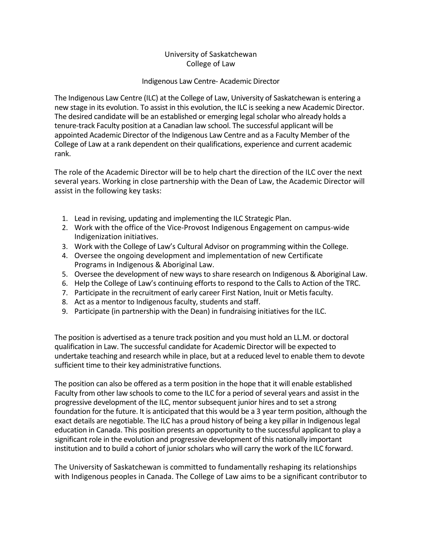## University of Saskatchewan College of Law

## Indigenous Law Centre- Academic Director

The Indigenous Law Centre (ILC) at the College of Law, University of Saskatchewan is entering a new stage in its evolution. To assist in this evolution, the ILC is seeking a new Academic Director. The desired candidate will be an established or emerging legal scholar who already holds a tenure-track Faculty position at a Canadian law school. The successful applicant will be appointed Academic Director of the Indigenous Law Centre and as a Faculty Member of the College of Law at a rank dependent on their qualifications, experience and current academic rank.

The role of the Academic Director will be to help chart the direction of the ILC over the next several years. Working in close partnership with the Dean of Law, the Academic Director will assist in the following key tasks:

- 1. Lead in revising, updating and implementing the ILC Strategic Plan.
- 2. Work with the office of the Vice-Provost Indigenous Engagement on campus-wide Indigenization initiatives.
- 3. Work with the College of Law's Cultural Advisor on programming within the College.
- 4. Oversee the ongoing development and implementation of new Certificate Programs in Indigenous & Aboriginal Law.
- 5. Oversee the development of new ways to share research on Indigenous & Aboriginal Law.
- 6. Help the College of Law's continuing efforts to respond to the Calls to Action of the TRC.
- 7. Participate in the recruitment of early career First Nation, Inuit or Metis faculty.
- 8. Act as a mentor to Indigenous faculty, students and staff.
- 9. Participate (in partnership with the Dean) in fundraising initiatives for the ILC.

The position is advertised as a tenure track position and you must hold an LL.M. or doctoral qualification in Law. The successful candidate for Academic Director will be expected to undertake teaching and research while in place, but at a reduced level to enable them to devote sufficient time to their key administrative functions.

The position can also be offered as a term position in the hope that it will enable established Faculty from other law schools to come to the ILC for a period of several years and assist in the progressive development of the ILC, mentor subsequent junior hires and to set a strong foundation for the future. It is anticipated that this would be a 3 year term position, although the exact details are negotiable. The ILC has a proud history of being a key pillar in Indigenous legal education in Canada. This position presents an opportunity to the successful applicant to play a significant role in the evolution and progressive development of this nationally important institution and to build a cohort of junior scholars who will carry the work of the ILC forward.

The University of Saskatchewan is committed to fundamentally reshaping its relationships with Indigenous peoples in Canada. The College of Law aims to be a significant contributor to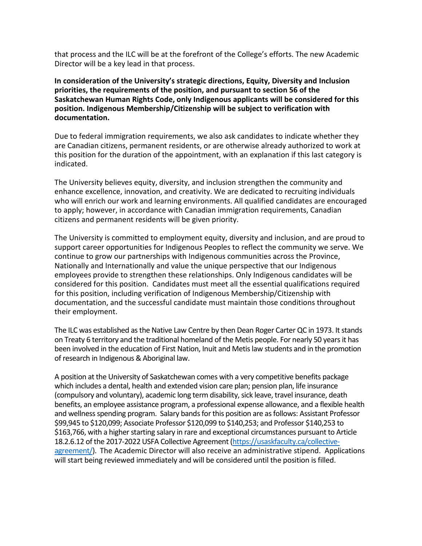that process and the ILC will be at the forefront of the College's efforts. The new Academic Director will be a key lead in that process.

**In consideration of the University's strategic directions, Equity, Diversity and Inclusion priorities, the requirements of the position, and pursuant to section 56 of the Saskatchewan Human Rights Code, only Indigenous applicants will be considered for this position. Indigenous Membership/Citizenship will be subject to verification with documentation.** 

Due to federal immigration requirements, we also ask candidates to indicate whether they are Canadian citizens, permanent residents, or are otherwise already authorized to work at this position for the duration of the appointment, with an explanation if this last category is indicated.

The University believes equity, diversity, and inclusion strengthen the community and enhance excellence, innovation, and creativity. We are dedicated to recruiting individuals who will enrich our work and learning environments. All qualified candidates are encouraged to apply; however, in accordance with Canadian immigration requirements, Canadian citizens and permanent residents will be given priority.

The University is committed to employment equity, diversity and inclusion, and are proud to support career opportunities for Indigenous Peoples to reflect the community we serve. We continue to grow our partnerships with Indigenous communities across the Province, Nationally and Internationally and value the unique perspective that our Indigenous employees provide to strengthen these relationships. Only Indigenous candidates will be considered for this position. Candidates must meet all the essential qualifications required for this position, including verification of Indigenous Membership/Citizenship with documentation, and the successful candidate must maintain those conditions throughout their employment.

The ILC was established as the Native Law Centre by then Dean Roger Carter QC in 1973. It stands on Treaty 6 territory and the traditional homeland of the Metis people. For nearly 50 years it has been involved in the education of First Nation, Inuit and Metis law students and in the promotion of research in Indigenous & Aboriginal law.

A position at the University of Saskatchewan comes with a very competitive benefits package which includes a dental, health and extended vision care plan; pension plan, life insurance (compulsory and voluntary), academic long term disability, sick leave, travel insurance, death benefits, an employee assistance program, a professional expense allowance, and a flexible health and wellness spending program. Salary bands for this position are as follows: Assistant Professor \$99,945 to \$120,099; Associate Professor \$120,099 to \$140,253; and Professor \$140,253 to \$163,766, with a higher starting salary in rare and exceptional circumstances pursuant to Article 18.2.6.12 of the 2017-2022 USFA Collective Agreement [\(https://usaskfaculty.ca/collective](https://usaskfaculty.ca/collective-agreement/)[agreement/\)](https://usaskfaculty.ca/collective-agreement/). The Academic Director will also receive an administrative stipend. Applications will start being reviewed immediately and will be considered until the position is filled.